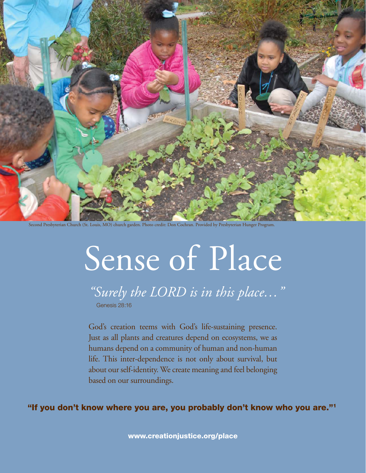

Second Presbyterian Church (St. Louis, MO) church garden. Photo credit: Don Cochran. Provided by Presbyterian Hunger Program.

# Sense of Place

*"Surely the LORD is in this place…"*  Genesis 28:16

God's creation teems with God's life-sustaining presence. Just as all plants and creatures depend on ecosystems, we as humans depend on a community of human and non-human life. This inter-dependence is not only about survival, but about our self-identity. We create meaning and feel belonging based on our surroundings.

"If you don't know where you are, you probably don't know who you are."1

www.creationjustice.org/place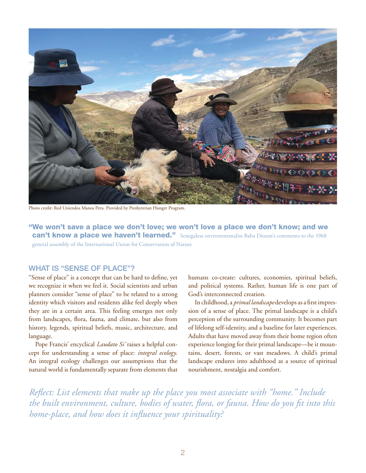

Photo credit: Red Uniendos Manos Peru. Provided by Presbyterian Hunger Program.

"We won't save a place we don't love; we won't love a place we don't know; and we can't know a place we haven't learned." Senegalese environmentalist Baba Dioum's comments to the 1968 general assembly of the International Union for Conservation of Nature

#### WHAT IS "SENSE OF PLACE"?

"Sense of place" is a concept that can be hard to define, yet we recognize it when we feel it. Social scientists and urban planners consider "sense of place" to be related to a strong identity which visitors and residents alike feel deeply when they are in a certain area. This feeling emerges not only from landscapes, flora, fauna, and climate, but also from history, legends, spiritual beliefs, music, architecture, and language.

Pope Francis' encyclical *Laudato Si'* raises a helpful concept for understanding a sense of place: *integral ecology*. An integral ecology challenges our assumptions that the natural world is fundamentally separate from elements that humans co-create: cultures, economies, spiritual beliefs, and political systems. Rather, human life is one part of God's interconnected creation.

In childhood, a *primal landscape* develops as a first impression of a sense of place. The primal landscape is a child's perception of the surrounding community. It becomes part of lifelong self-identity, and a baseline for later experiences. Adults that have moved away from their home region often experience longing for their primal landscape—be it mountains, desert, forests, or vast meadows. A child's primal landscape endures into adulthood as a source of spiritual nourishment, nostalgia and comfort.

*Reflect: List elements that make up the place you most associate with "home." Include the built environment, culture, bodies of water, flora, or fauna. How do you fit into this home-place, and how does it influence your spirituality?*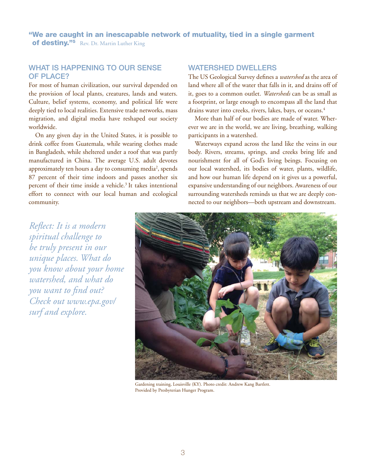"We are caught in an inescapable network of mutuality, tied in a single garment of destiny."<sup>5</sup> Rev. Dr. Martin Luther King

#### WHAT IS HAPPENING TO OUR SENSE of Place?

For most of human civilization, our survival depended on the provision of local plants, creatures, lands and waters. Culture, belief systems, economy, and political life were deeply tied to local realities. Extensive trade networks, mass migration, and digital media have reshaped our society worldwide.

On any given day in the United States, it is possible to drink coffee from Guatemala, while wearing clothes made in Bangladesh, while sheltered under a roof that was partly manufactured in China. The average U.S. adult devotes approximately ten hours a day to consuming media<sup>2</sup>, spends 87 percent of their time indoors and passes another six percent of their time inside a vehicle.<sup>3</sup> It takes intentional effort to connect with our local human and ecological community.

#### WATERSHED DWELLERS

The US Geological Survey defines a *watershed* as the area of land where all of the water that falls in it, and drains off of it, goes to a common outlet. *Watersheds* can be as small as a footprint, or large enough to encompass all the land that drains water into creeks, rivers, lakes, bays, or oceans.<sup>4</sup>

More than half of our bodies are made of water. Wherever we are in the world, we are living, breathing, walking participants in a watershed.

Waterways expand across the land like the veins in our body. Rivers, streams, springs, and creeks bring life and nourishment for all of God's living beings. Focusing on our local watershed, its bodies of water, plants, wildlife, and how our human life depend on it gives us a powerful, expansive understanding of our neighbors. Awareness of our surrounding watersheds reminds us that we are deeply connected to our neighbors—both upstream and downstream.

*Reflect: It is a modern spiritual challenge to be truly present in our unique places. What do you know about your home watershed, and what do you want to find out? Check out [www.epa.gov/](https://cfpub.epa.gov/surf/locate/index.cfm) [surf](https://cfpub.epa.gov/surf/locate/index.cfm) and explore.*



Gardening training, Louisville (KY). Photo credit: Andrew Kang Bartlett. Provided by Presbyterian Hunger Program.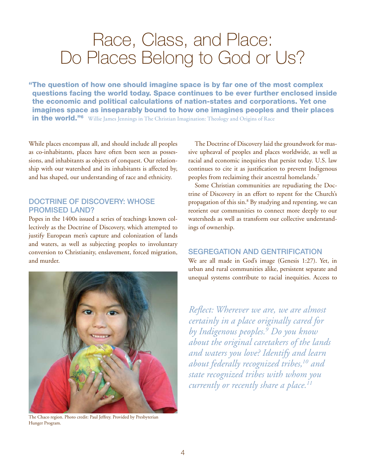### Race, Class, and Place: Do Places Belong to God or Us?

"The question of how one should imagine space is by far one of the most complex questions facing the world today. Space continues to be ever further enclosed inside the economic and political calculations of nation-states and corporations. Yet one imagines space as inseparably bound to how one imagines peoples and their places in the world.<sup>"6</sup> Willie James Jennings in The Christian Imagination: Theology and Origins of Race

While places encompass all, and should include all peoples as co-inhabitants, places have often been seen as possessions, and inhabitants as objects of conquest. Our relationship with our watershed and its inhabitants is affected by, and has shaped, our understanding of race and ethnicity.

#### DOCTRINE OF DISCOVERY: WHOSE Promised Land?

Popes in the 1400s issued a series of teachings known collectively as the Doctrine of Discovery, which attempted to justify European men's capture and colonization of lands and waters, as well as subjecting peoples to involuntary conversion to Christianity, enslavement, forced migration, and murder.



The Chaco region. Photo credit: Paul Jeffrey. Provided by Presbyterian Hunger Program.

The Doctrine of Discovery laid the groundwork for massive upheaval of peoples and places worldwide, as well as racial and economic inequities that persist today. U.S. law continues to cite it as justification to prevent Indigenous peoples from reclaiming their ancestral homelands.<sup>7</sup>

Some Christian communities are repudiating the Doctrine of Discovery in an effort to repent for the Church's propagation of this sin.8 By studying and repenting, we can reorient our communities to connect more deeply to our watersheds as well as transform our collective understandings of ownership.

#### SEGREGATION AND GENTRIFICATION

We are all made in God's image (Genesis 1:27). Yet, in urban and rural communities alike, persistent separate and unequal systems contribute to racial inequities. Access to

*Reflect: Wherever we are, we are almost certainly in a place originally cared for by Indigenous peoples.9 Do you know about the original caretakers of the lands and waters you love? Identify and learn about federally recognized tribes,10 and state recognized tribes with whom you currently or recently share a place.11*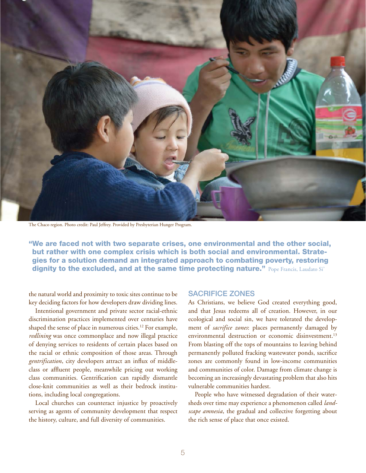

The Chaco region. Photo credit: Paul Jeffrey. Provided by Presbyterian Hunger Program.

"We are faced not with two separate crises, one environmental and the other social, but rather with one complex crisis which is both social and environmental. Strategies for a solution demand an integrated approach to combating poverty, restoring dignity to the excluded, and at the same time protecting nature." Pope Francis, Laudato Si'

the natural world and proximity to toxic sites continue to be key deciding factors for how developers draw dividing lines.

Intentional government and private sector racial-ethnic discrimination practices implemented over centuries have shaped the sense of place in numerous cities.<sup>12</sup> For example, *redlining* was once commonplace and now illegal practice of denying services to residents of certain places based on the racial or ethnic composition of those areas. Through *gentrification*, city developers attract an influx of middleclass or affluent people, meanwhile pricing out working class communities. Gentrification can rapidly dismantle close-knit communities as well as their bedrock institutions, including local congregations.

Local churches can counteract injustice by proactively serving as agents of community development that respect the history, culture, and full diversity of communities.

#### SACRIFICE ZONES

As Christians, we believe God created everything good, and that Jesus redeems all of creation. However, in our ecological and social sin, we have tolerated the development of *sacrifice zones*: places permanently damaged by environmental destruction or economic disinvestment.<sup>13</sup> From blasting off the tops of mountains to leaving behind permanently polluted fracking wastewater ponds, sacrifice zones are commonly found in low-income communities and communities of color. Damage from climate change is becoming an increasingly devastating problem that also hits vulnerable communities hardest.

People who have witnessed degradation of their watersheds over time may experience a phenomenon called *landscape amnesia*, the gradual and collective forgetting about the rich sense of place that once existed.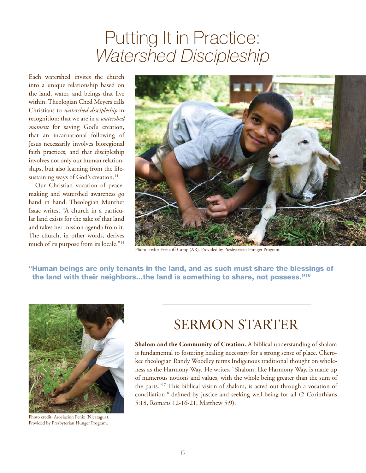### Putting It in Practice: *Watershed Discipleship*

Each watershed invites the church into a unique relationship based on the land, water, and beings that live within. Theologian Ched Meyers calls Christians to *watershed discipleship* in recognition: that we are in a *watershed moment* for saving God's creation, that an incarnational following of Jesus necessarily involves bioregional faith practices, and that discipleship involves not only our human relationships, but also learning from the lifesustaining ways of God's creation.<sup>14</sup>

Our Christian vocation of peacemaking and watershed awareness go hand in hand. Theologian Munther Isaac writes, "A church in a particular land exists for the sake of that land and takes her mission agenda from it. The church, in other words, derives much of its purpose from its locale."15



Photo credit: Ferncliff Camp (AR). Provided by Presbyterian Hunger Program.

"Human beings are only tenants in the land, and as such must share the blessings of the land with their neighbors...the land is something to share, not possess."16



Photo credit: Asociacion Fenix (Nicaragua). Provided by Presbyterian Hunger Program.

### SERMON STARTER

**Shalom and the Community of Creation.** A biblical understanding of shalom is fundamental to fostering healing necessary for a strong sense of place. Cherokee theologian Randy Woodley terms Indigenous traditional thought on wholeness as the Harmony Way. He writes, "Shalom, like Harmony Way, is made up of numerous notions and values, with the whole being greater than the sum of the parts."17 This biblical vision of shalom, is acted out through a vocation of  $conciliation<sup>18</sup>$  defined by justice and seeking well-being for all  $(2 \text{ Corinthians})$ 5:18, Romans 12-16-21, Matthew 5:9).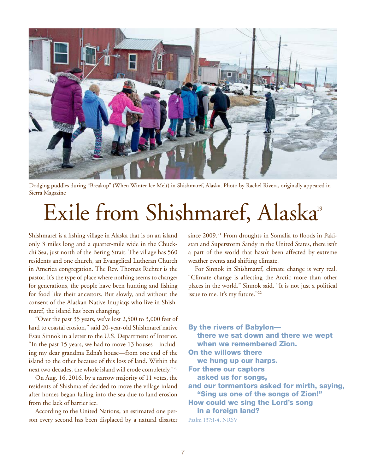

Dodging puddles during "Breakup" (When Winter Ice Melt) in Shishmaref, Alaska. Photo by Rachel Rivera, originally appeared in Sierra Magazine

## Exile from Shishmaref, Alaska<sup>9</sup>

Shishmaref is a fishing village in Alaska that is on an island only 3 miles long and a quarter-mile wide in the Chuckchi Sea, just north of the Bering Strait. The village has 560 residents and one church, an Evangelical Lutheran Church in America congregation. The Rev. Thomas Richter is the pastor. It's the type of place where nothing seems to change; for generations, the people have been hunting and fishing for food like their ancestors. But slowly, and without the consent of the Alaskan Native Inupiaqs who live in Shishmaref, the island has been changing.

"Over the past 35 years, we've lost 2,500 to 3,000 feet of land to coastal erosion," said 20-year-old Shishmaref native Esau Sinnok in a letter to the U.S. Department of Interior. "In the past 15 years, we had to move 13 houses—including my dear grandma Edna's house—from one end of the island to the other because of this loss of land. Within the next two decades, the whole island will erode completely."20

On Aug. 16, 2016, by a narrow majority of 11 votes, the residents of Shishmaref decided to move the village inland after homes began falling into the sea due to land erosion from the lack of barrier ice.

According to the United Nations, an estimated one person every second has been displaced by a natural disaster since 2009.<sup>21</sup> From droughts in Somalia to floods in Pakistan and Superstorm Sandy in the United States, there isn't a part of the world that hasn't been affected by extreme weather events and shifting climate.

For Sinnok in Shishmaref, climate change is very real. "Climate change is affecting the Arctic more than other places in the world," Sinnok said. "It is not just a political issue to me. It's my future."<sup>22</sup>

By the rivers of Babylon there we sat down and there we wept when we remembered Zion. On the willows there we hung up our harps. For there our captors asked us for songs, and our tormentors asked for mirth, saying, "Sing us one of the songs of Zion!" How could we sing the Lord's song in a foreign land? Psalm 137:1-4, NRSV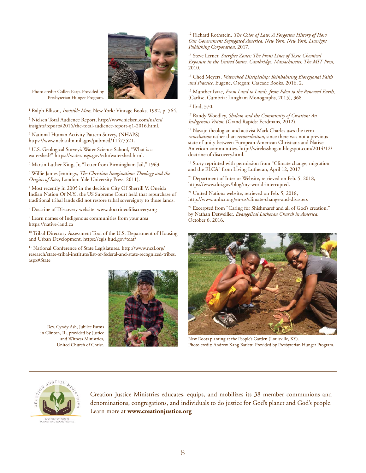

Photo credit: Collen Earp. Provided by Presbyterian Hunger Program.

<sup>1</sup> Ralph Ellison, *Invisible Man*, New York: Vintage Books, 1982, p. 564.

2 Nielsen Total Audience Report, [http://www.nielsen.com/us/en/](http://www.nielsen.com/us/en/insights/reports/2016/the-total-audience-report-q1-2016.html) [insights/reports/2016/the-total-audience-report-q1-2016.html](http://www.nielsen.com/us/en/insights/reports/2016/the-total-audience-report-q1-2016.html).

<sup>3</sup> National Human Activity Pattern Survey, (NHAPS) [https://www.ncbi.nlm.nih.gov/pubmed/11477521.](https://www.ncbi.nlm.nih.gov/pubmed/11477521)

4 U.S. Geological Survey's Water Science School, "What is a watershed?" [https://water.usgs.gov/edu/watershed.html.](https://water.usgs.gov/edu/watershed.html)

<sup>5</sup> Martin Luther King, Jr, "Letter from Birmingham Jail," 1963.

6 Willie James Jennings, *The Christian Imagination: Theology and the Origins of Race*, London: Yale University Press, 2011).

7 Most recently in 2005 in the decision City Of Sherrill V. Oneida Indian Nation Of N.Y., the US Supreme Court held that repurchase of traditional tribal lands did not restore tribal sovereignty to those lands.

8 Doctrine of Discovery website. [www.doctrineofdiscovery.org](http://www.doctrineofdiscovery.org)

9 Learn names of Indigenous communities from your area <https://native-land.ca>

<sup>10</sup> Tribal Directory Assessment Tool of the U.S. Department of Housing and Urban Development.<https://egis.hud.gov/tdat/>

11 National Conference of State Legislatures. [http://www.ncsl.org/](http://www.ncsl.org/research/state-tribal-institute/list-of-federal-and-state-recognized-tribes.aspx#State) [research/state-tribal-institute/list-of-federal-and-state-recognized-tribes.](http://www.ncsl.org/research/state-tribal-institute/list-of-federal-and-state-recognized-tribes.aspx#State) [aspx#State](http://www.ncsl.org/research/state-tribal-institute/list-of-federal-and-state-recognized-tribes.aspx#State)



Rev. Cyndy Ash, Jubilee Farms in Clinton, IL, provided by Justice and Witness Ministries, United Church of Christ.

12 Richard Rothstein, *The Color of Law: A Forgotten History of How Our Government Segregated America, New York, New York: Liveright Publishing Corporation*, 2017.

13 Steve Lerner, *Sacrifice Zones: The Front Lines of Toxic Chemical Exposure in the United States, Cambridge, Massachusetts: The MIT Press*, 2010.

<sup>14</sup> Ched Meyers, *Watershed Discipleship: Reinhabiting Bioregional Faith and Practice*. Eugene, Oregon: Cascade Books, 2016, 2.

15 Munther Isaac, *From Land to Lands, from Eden to the Renewed Earth*, (Carlise, Cumbria: Langham Monographs, 2015), 368.

16 Ibid, 370.

17 Randy Woodley, *Shalom and the Community of Creation: An Indigenous Vision*, (Grand Rapids: Eerdmans, 2012).

<sup>18</sup> Navajo theologian and activist Mark Charles uses the term *conciliation* rather than *reconciliation*, since there was not a previous state of unity between European-American Christians and Native American communities. [http://wirelesshogan.blogspot.com/2014/12/](http://wirelesshogan.blogspot.com/2014/12/doctrine-of-discovery.html) [doctrine-of-discovery.html.](http://wirelesshogan.blogspot.com/2014/12/doctrine-of-discovery.html)

<sup>19</sup> Story reprinted with permission from "Climate change, migration and the ELCA" from Living Lutheran, April 12, 2017

<sup>20</sup> Department of Interior Website, retrieved on Feb. 5, 2018, <https://www.doi.gov/blog/my-world-interrupted>.

<sup>21</sup> United Nations website, retrieved on Feb. 5, 2018, <http://www.unhcr.org/en-us/climate-change-and-disasters>

<sup>22</sup> Excerpted from "Caring for Shishmaref and all of God's creation," by Nathan Detweiller, *Evangelical Lutheran Church in America*, October 6, 2016.



New Roots planting at the People's Garden (Louisville, KY). Photo credit: Andrew Kang Barlett. Provided by Presbyterian Hunger Program.



Creation Justice Ministries educates, equips, and mobilizes its 38 member communions and denominations, congregations, and individuals to do justice for God's planet and God's people. Learn more at **[www.creationjustice.org](http://www.creationjustice.org)**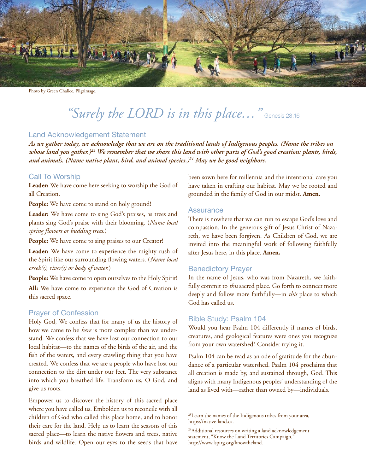

Photo by Green Chalice, Pilgrimage.

### *"Surely the LORD is in this place…"* Genesis 28:16

#### Land Acknowledgement Statement

*As we gather today, we acknowledge that we are on the traditional lands of Indigenous peoples. (Name the tribes on whose land you gather.)23 We remember that we share this land with other parts of God's good creation: plants, birds, and animals. (Name native plant, bird, and animal species.)24 May we be good neighbors.*

#### Call To Worship

**Leader:** We have come here seeking to worship the God of all Creation.

**People:** We have come to stand on holy ground!

**Leader:** We have come to sing God's praises, as trees and plants sing God's praise with their blooming. (*Name local spring flowers or budding trees*.)

People: We have come to sing praises to our Creator!

**Leader:** We have come to experience the mighty rush of the Spirit like our surrounding flowing waters. (*Name local creek(s), river(s) or body of water*.)

**People:** We have come to open ourselves to the Holy Spirit!

**All:** We have come to experience the God of Creation is this sacred space.

#### Prayer of Confession

Holy God, We confess that for many of us the history of how we came to be *here* is more complex than we understand. We confess that we have lost our connection to our local habitat—to the names of the birds of the air, and the fish of the waters, and every crawling thing that you have created. We confess that we are a people who have lost our connection to the dirt under our feet. The very substance into which you breathed life. Transform us, O God, and give us roots.

Empower us to discover the history of this sacred place where you have called us. Embolden us to reconcile with all children of God who called this place home, and to honor their care for the land. Help us to learn the seasons of this sacred place—to learn the native flowers and trees, native birds and wildlife. Open our eyes to the seeds that have

been sown here for millennia and the intentional care you have taken in crafting our habitat. May we be rooted and grounded in the family of God in our midst. **Amen.**

#### **Assurance**

There is nowhere that we can run to escape God's love and compassion. In the generous gift of Jesus Christ of Nazareth, we have been forgiven. As Children of God, we are invited into the meaningful work of following faithfully after Jesus here, in this place. **Amen.** 

#### Benedictory Prayer

In the name of Jesus, who was from Nazareth, we faithfully commit to *this* sacred place. Go forth to connect more deeply and follow more faithfully—in *this* place to which God has called us.

#### Bible Study: Psalm 104

Would you hear Psalm 104 differently if names of birds, creatures, and geological features were ones you recognize from your own watershed? Consider trying it.

Psalm 104 can be read as an ode of gratitude for the abundance of a particular watershed. Psalm 104 proclaims that all creation is made by, and sustained through, God. This aligns with many Indigenous peoples' understanding of the land as lived with—rather than owned by—individuals.

<sup>23</sup>Learn the names of the Indigenous tribes from your area, https://native-land.ca.

<sup>&</sup>lt;sup>24</sup>Additional resources on writing a land acknowledgement statement, "Know the Land Territories Campaign," http://www.lspirg.org/knowtheland.